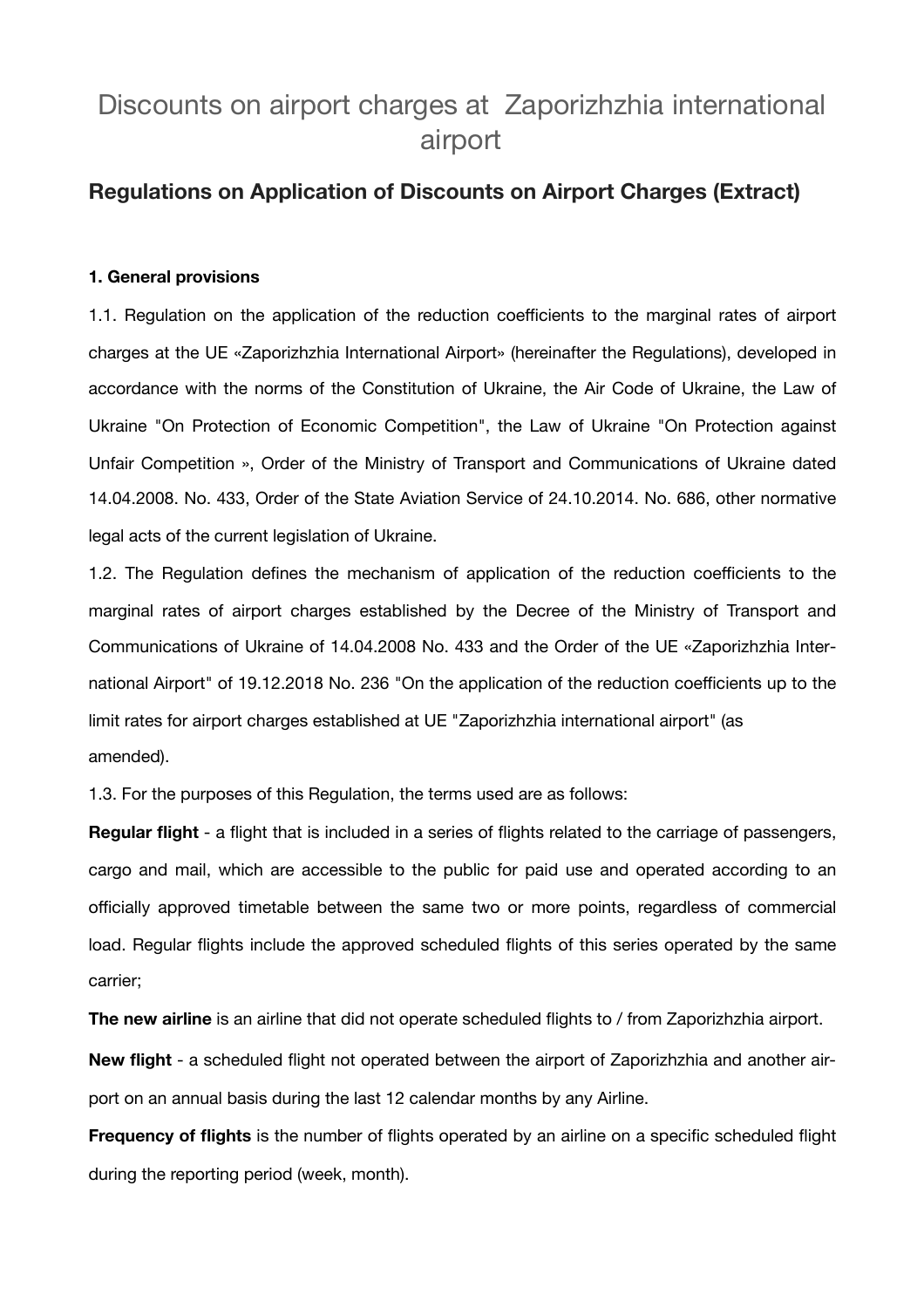# Discounts on airport charges at Zaporizhzhia international airport

## **Regulations on Application of Discounts on Airport Charges (Extract)**

#### **1. General provisions**

1.1. Regulation on the application of the reduction coefficients to the marginal rates of airport charges at the UE «Zaporizhzhia International Airport» (hereinafter the Regulations), developed in accordance with the norms of the Constitution of Ukraine, the Air Code of Ukraine, the Law of Ukraine "On Protection of Economic Competition", the Law of Ukraine "On Protection against Unfair Competition », Order of the Ministry of Transport and Communications of Ukraine dated 14.04.2008. No. 433, Order of the State Aviation Service of 24.10.2014. No. 686, other normative legal acts of the current legislation of Ukraine.

1.2. The Regulation defines the mechanism of application of the reduction coefficients to the marginal rates of airport charges established by the Decree of the Ministry of Transport and Communications of Ukraine of 14.04.2008 No. 433 and the Order of the UE «Zaporizhzhia International Airport" of 19.12.2018 No. 236 "On the application of the reduction coefficients up to the limit rates for airport charges established at UE "Zaporizhzhia international airport" (as amended).

1.3. For the purposes of this Regulation, the terms used are as follows:

**Regular flight** - a flight that is included in a series of flights related to the carriage of passengers, cargo and mail, which are accessible to the public for paid use and operated according to an officially approved timetable between the same two or more points, regardless of commercial load. Regular flights include the approved scheduled flights of this series operated by the same carrier;

**The new airline** is an airline that did not operate scheduled flights to / from Zaporizhzhia airport.

**New flight** - a scheduled flight not operated between the airport of Zaporizhzhia and another airport on an annual basis during the last 12 calendar months by any Airline.

**Frequency of flights** is the number of flights operated by an airline on a specific scheduled flight during the reporting period (week, month).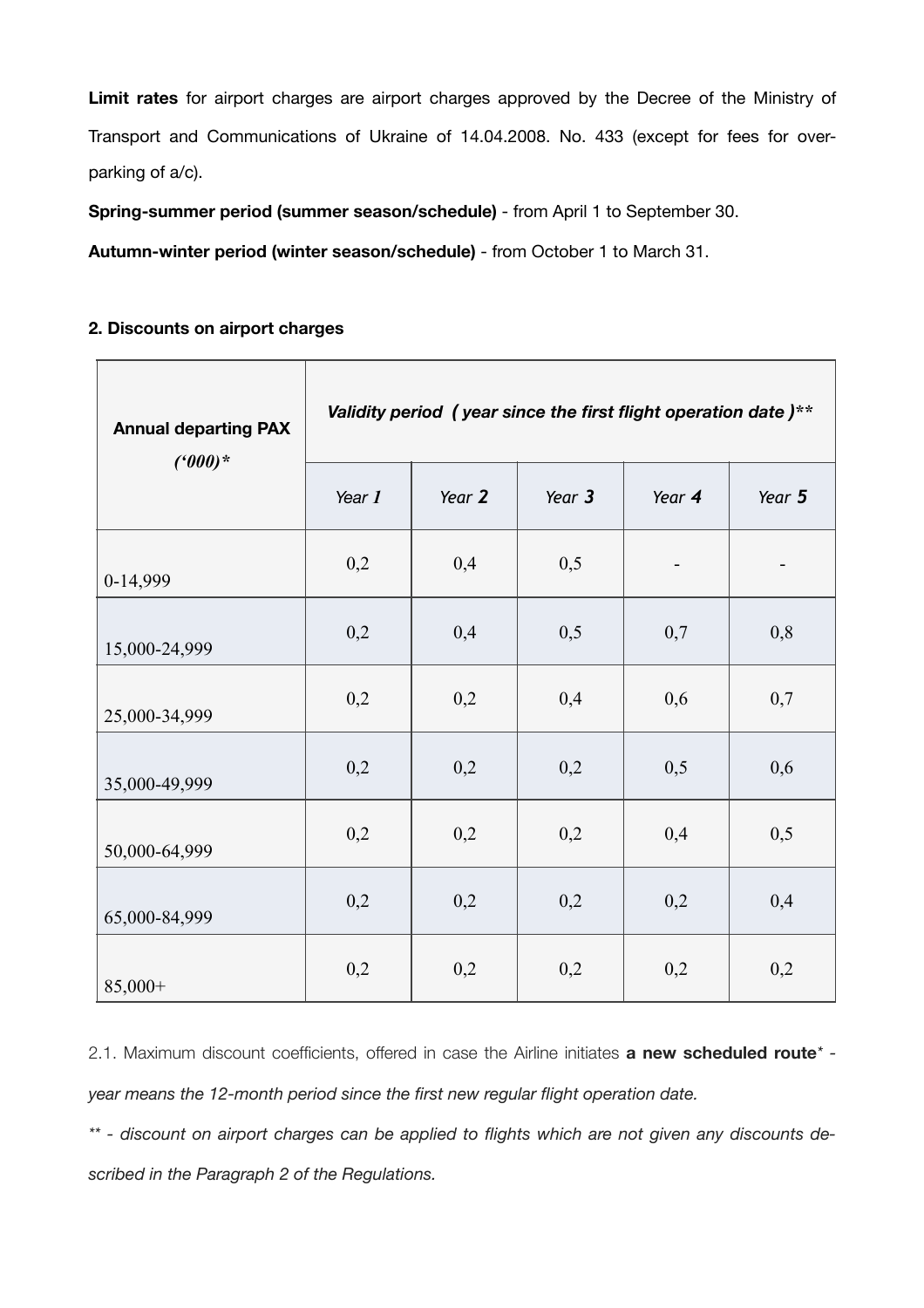**Limit rates** for airport charges are airport charges approved by the Decree of the Ministry of Transport and Communications of Ukraine of 14.04.2008. No. 433 (except for fees for overparking of a/c).

**Spring-summer period (summer season/schedule)** - from April 1 to September 30.

**Autumn-winter period (winter season/schedule)** - from October 1 to March 31.

### **2. Discounts on airport charges**

| <b>Annual departing PAX</b><br>$(000)*$ | Validity period (year since the first flight operation date)** |        |        |        |        |
|-----------------------------------------|----------------------------------------------------------------|--------|--------|--------|--------|
|                                         | Year 1                                                         | Year 2 | Year 3 | Year 4 | Year 5 |
| 0-14,999                                | 0,2                                                            | 0,4    | 0,5    |        |        |
| 15,000-24,999                           | 0,2                                                            | 0,4    | 0,5    | 0,7    | 0,8    |
| 25,000-34,999                           | 0,2                                                            | 0,2    | 0,4    | 0,6    | 0,7    |
| 35,000-49,999                           | 0,2                                                            | 0,2    | 0,2    | 0,5    | 0,6    |
| 50,000-64,999                           | 0,2                                                            | 0,2    | 0,2    | 0,4    | 0,5    |
| 65,000-84,999                           | 0,2                                                            | 0,2    | 0,2    | 0,2    | 0,4    |
| $85,000+$                               | 0,2                                                            | 0,2    | 0,2    | 0,2    | 0,2    |

2.1. Maximum discount coefficients, offered in case the Airline initiates **a new scheduled route***\* year means the 12-month period since the first new regular flight operation date.* 

*\*\* - discount on airport charges can be applied to flights which are not given any discounts described in the Paragraph 2 of the Regulations.*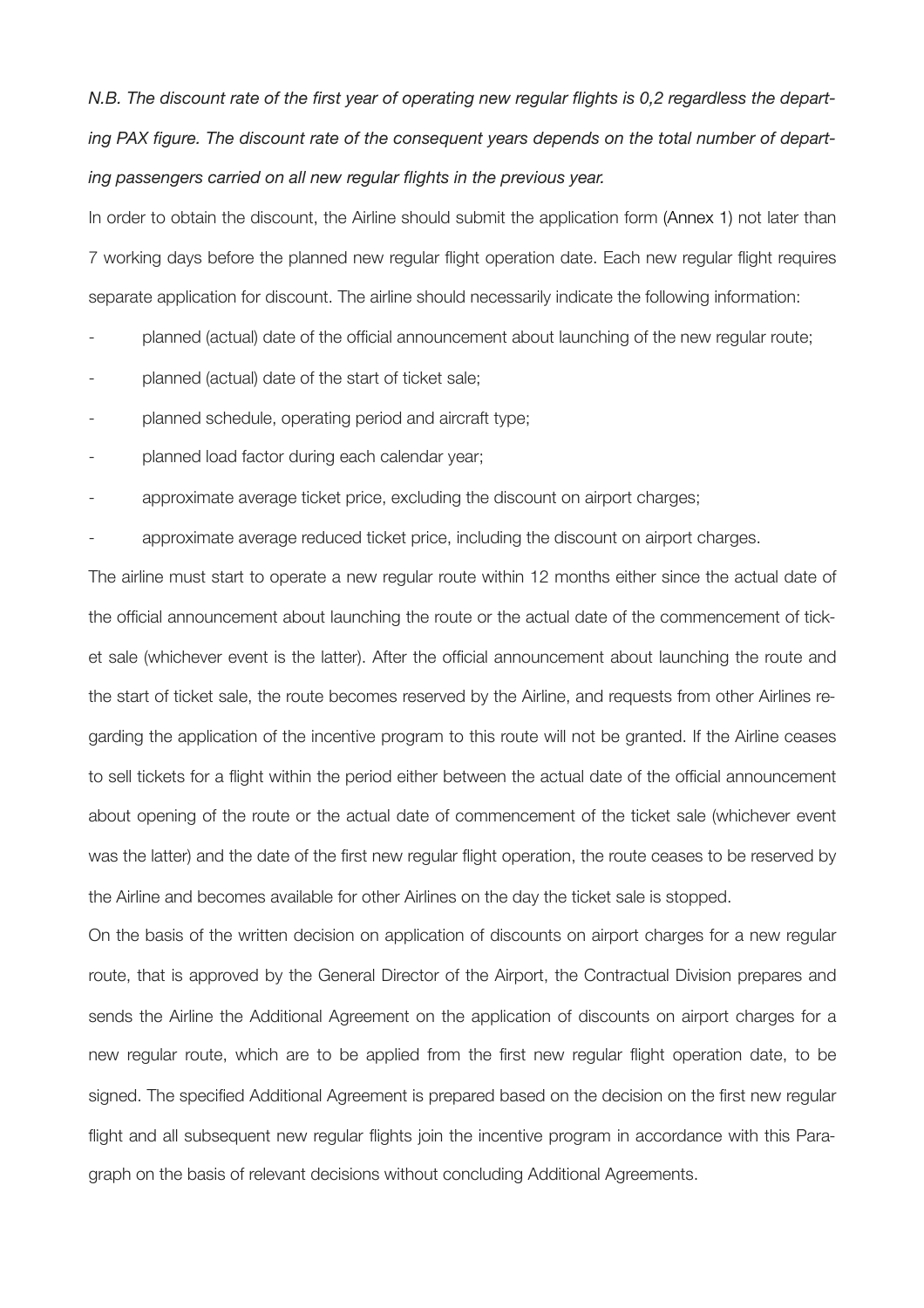*N.B. The discount rate of the first year of operating new regular flights is 0,2 regardless the departing PAX figure. The discount rate of the consequent years depends on the total number of departing passengers carried on all new regular flights in the previous year.* 

In order to obtain the discount, the Airline should submit the application form (Annex 1) not later than 7 working days before the planned new regular flight operation date. Each new regular flight requires separate application for discount. The airline should necessarily indicate the following information:

planned (actual) date of the official announcement about launching of the new regular route;

- planned (actual) date of the start of ticket sale;
- planned schedule, operating period and aircraft type:
- planned load factor during each calendar year;
- approximate average ticket price, excluding the discount on airport charges;
- approximate average reduced ticket price, including the discount on airport charges.

The airline must start to operate a new regular route within 12 months either since the actual date of the official announcement about launching the route or the actual date of the commencement of ticket sale (whichever event is the latter). After the official announcement about launching the route and the start of ticket sale, the route becomes reserved by the Airline, and requests from other Airlines regarding the application of the incentive program to this route will not be granted. If the Airline ceases to sell tickets for a flight within the period either between the actual date of the official announcement about opening of the route or the actual date of commencement of the ticket sale (whichever event was the latter) and the date of the first new regular flight operation, the route ceases to be reserved by the Airline and becomes available for other Airlines on the day the ticket sale is stopped.

On the basis of the written decision on application of discounts on airport charges for a new regular route, that is approved by the General Director of the Airport, the Contractual Division prepares and sends the Airline the Additional Agreement on the application of discounts on airport charges for a new regular route, which are to be applied from the first new regular flight operation date, to be signed. The specified Additional Agreement is prepared based on the decision on the first new regular flight and all subsequent new regular flights join the incentive program in accordance with this Paragraph on the basis of relevant decisions without concluding Additional Agreements.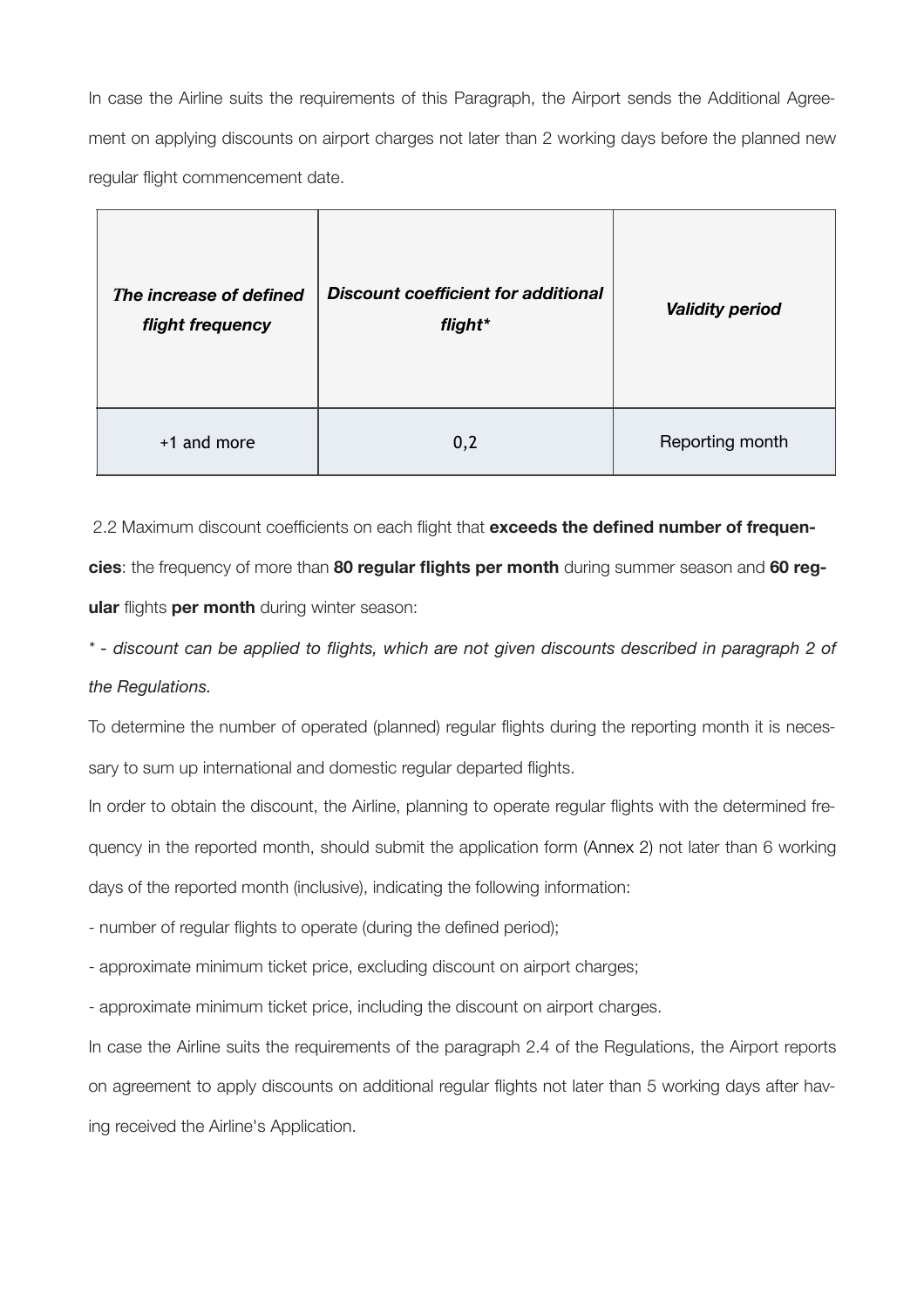In case the Airline suits the requirements of this Paragraph, the Airport sends the Additional Agreement on applying discounts on airport charges not later than 2 working days before the planned new regular flight commencement date.

| The increase of defined<br>flight frequency | <b>Discount coefficient for additional</b><br>flight* | <b>Validity period</b> |  |
|---------------------------------------------|-------------------------------------------------------|------------------------|--|
| +1 and more                                 | 0,2                                                   | Reporting month        |  |

2.2 Maximum discount coefficients on each flight that **exceeds the defined number of frequencies**: the frequency of more than **80 regular flights per month** during summer season and **60 reg-**

**ular** flights **per month** during winter season:

*\* - discount can be applied to flights, which are not given discounts described in paragraph 2 of the Regulations.*

To determine the number of operated (planned) regular flights during the reporting month it is necessary to sum up international and domestic regular departed flights.

In order to obtain the discount, the Airline, planning to operate regular flights with the determined frequency in the reported month, should submit the application form (Annex 2) not later than 6 working days of the reported month (inclusive), indicating the following information:

- number of regular flights to operate (during the defined period);

- approximate minimum ticket price, excluding discount on airport charges;

- approximate minimum ticket price, including the discount on airport charges.

In case the Airline suits the requirements of the paragraph 2.4 of the Regulations, the Airport reports on agreement to apply discounts on additional regular flights not later than 5 working days after having received the Airline's Application.